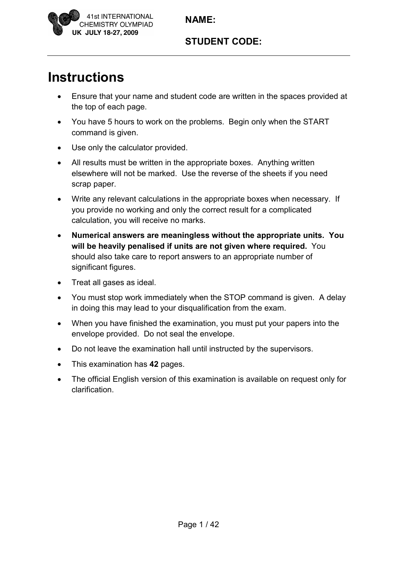

# **Instructions**

- Ensure that your name and student code are written in the spaces provided at the top of each page.
- You have 5 hours to work on the problems. Begin only when the START command is given.
- Use only the calculator provided.
- All results must be written in the appropriate boxes. Anything written elsewhere will not be marked. Use the reverse of the sheets if you need scrap paper.
- Write any relevant calculations in the appropriate boxes when necessary. If you provide no working and only the correct result for a complicated calculation, you will receive no marks.
- **Numerical answers are meaningless without the appropriate units. You will be heavily penalised if units are not given where required.** You should also take care to report answers to an appropriate number of significant figures.
- Treat all gases as ideal.
- You must stop work immediately when the STOP command is given. A delay in doing this may lead to your disqualification from the exam.
- When you have finished the examination, you must put your papers into the envelope provided. Do not seal the envelope.
- Do not leave the examination hall until instructed by the supervisors.
- This examination has **42** pages.
- The official English version of this examination is available on request only for clarification.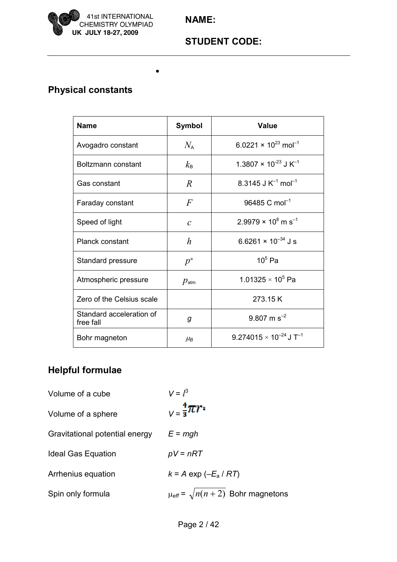•



# **STUDENT CODE:**

# **Physical constants**

| Name                                  | <b>Symbol</b>    | <b>Value</b>                                        |  |  |
|---------------------------------------|------------------|-----------------------------------------------------|--|--|
| Avogadro constant                     | $N_{\sf A}$      | 6.0221 $\times$ 10 <sup>23</sup> mol <sup>-1</sup>  |  |  |
| Boltzmann constant                    | $k_{\rm B}$      | 1.3807 $\times$ 10 <sup>-23</sup> J K <sup>-1</sup> |  |  |
| Gas constant                          | $\overline{R}$   | 8.3145 J K <sup>-1</sup> mol <sup>-1</sup>          |  |  |
| Faraday constant                      | $\overline{F}$   | $96485$ C mol <sup>-1</sup>                         |  |  |
| Speed of light                        | $\mathcal{C}$    | $2.9979 \times 10^8$ m s <sup>-1</sup>              |  |  |
| <b>Planck constant</b>                | h                | 6.6261 $\times$ 10 <sup>-34</sup> J s               |  |  |
| Standard pressure                     | $p^{\circ}$      | $105$ Pa                                            |  |  |
| Atmospheric pressure                  | $p_{\text{atm}}$ | 1.01325 $\times$ 10 <sup>5</sup> Pa                 |  |  |
| Zero of the Celsius scale             |                  | 273.15 K                                            |  |  |
| Standard acceleration of<br>free fall | g                | $9.807 \text{ m s}^{-2}$                            |  |  |
| Bohr magneton                         | $\mu_{B}$        | $9.274015 \times 10^{-24}$ J T <sup>-1</sup>        |  |  |

# **Helpful formulae**

| Volume of a cube               | $V = l^3$                                         |
|--------------------------------|---------------------------------------------------|
| Volume of a sphere             | $V = \frac{4}{3}\pi T^3$                          |
| Gravitational potential energy | $E = mgh$                                         |
| <b>Ideal Gas Equation</b>      | $pV = nRT$                                        |
| Arrhenius equation             | $k = A \exp(-E_a / RT)$                           |
| Spin only formula              | $\mu_{\text{eff}} = \sqrt{n(n+2)}$ Bohr magnetons |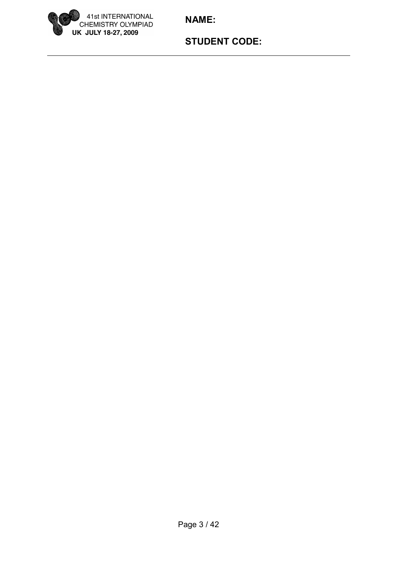

# **STUDENT CODE:**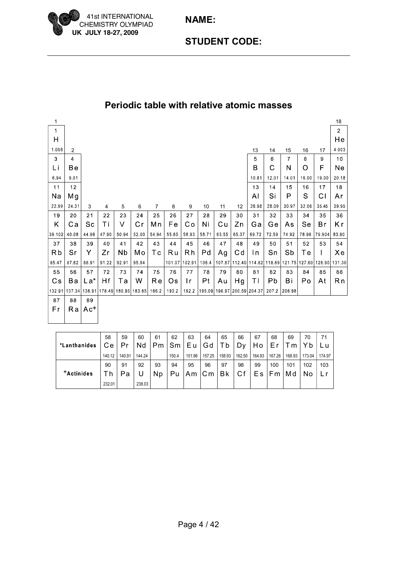

## **Periodic table with relative atomic masses**

| 1              |                |               |       |       |                      |                |                |           |       |        |                |                             |        |        |       |               | 18          |
|----------------|----------------|---------------|-------|-------|----------------------|----------------|----------------|-----------|-------|--------|----------------|-----------------------------|--------|--------|-------|---------------|-------------|
| 1              |                |               |       |       |                      |                |                |           |       |        |                |                             |        |        |       |               | $\mathbf 2$ |
| H              |                |               |       |       |                      |                |                |           |       |        |                |                             |        |        |       |               | He          |
| 1.008          | $\overline{2}$ |               |       |       |                      |                |                |           |       |        |                | 13                          | 14     | 15     | 16    | 17            | 4.003       |
| 3              | 4              |               |       |       |                      |                |                |           |       |        |                | 5                           | 6      | 7      | 8     | 9             | 10          |
| Li             | Вe             |               |       |       |                      |                |                |           |       |        |                | B                           | C      | N      | O     | F             | Ne          |
| 6.94           | 9.01           |               |       |       |                      |                |                |           |       |        |                | 10.81                       | 12.01  | 14.01  | 16.00 | 19.00         | 20.18       |
| 11             | 12             |               |       |       |                      |                |                |           |       |        |                | 13                          | 14     | 15     | 16    | 17            | 18          |
| Na             | Мg             |               |       |       |                      |                |                |           |       |        |                | Al                          | Si     | P      | S     | CI            | Ar          |
| 22.99          | 24 31          | 3             | 4     | 5     | 6                    | $\overline{7}$ | 8              | 9         | 10    | 11     | 12             | 26.98                       | 28.09  | 30.97  | 32.06 | 35 45         | 39.95       |
| 19             | 20             | 21            | 22    | 23    | 24                   | 25             | 26             | 27        | 28    | 29     | 30             | 31                          | 32     | 33     | 34    | 35            | 36          |
| Κ              | Ca             | Sc            | Τi    | V     | Cr                   | Мn             | Fe             | Co        | Ni    | Cu     | Zn             | Ga                          | Ge     | As     | Se    | Βr            | Κr          |
| 39.102         | 40.08          | 44 96         | 47 90 | 50 94 | 52.00                | 54 94          | 55 85          | 5893      | 58.71 | 63.55  | 65 37          | 69.72                       | 72.59  | 74.92  | 78.96 | 79 904        | 83 80       |
| 37             | 38             | 39            | 40    | 41    | 42                   | 43             | 44             | 45        | 46    | 47     | 48             | 49                          | 50     | 51     | 52    | 53            | 54          |
| R <sub>b</sub> | Sr             | Υ             | Zr    | Nb    | Мo                   | Тc             | R <sub>u</sub> | <b>Rh</b> | Pd    | Αg     | C <sub>d</sub> | I n                         | Sn     | Sb     | Тe    | $\mathbf l$   | Xe          |
| 85 47          | 87 62          | 88.91         | 91.22 | 92 91 | 95 94                |                | 101.07         | 102 91    | 106.4 | 107.87 | 112.40         | 114 82                      | 118.69 | 12175  |       | 127 60 126 90 | 131.30      |
| 55             | 56             | 57            | 72    | 73    | 74                   | 75             | 76             | 77        | 78    | 79     | 80             | 81                          | 82     | 83     | 84    | 85            | 86          |
| Cs             | Вa             | La*           | Ηf    | Тa    | W                    | Re             | Os             | <u>Ir</u> | Pt    | Au     | Hg             | ΤI                          | Pb     | Вi     | Po    | At            | Rn          |
| 132.91         |                | 137 34 138 91 |       |       | 178 49 180 95 183 85 | 186.2          | 190.2          | 192.2     |       |        |                | 195 09 196 97 200 59 204 37 | 207.2  | 208 98 |       |               |             |
| 87             | 88             | 89            |       |       |                      |                |                |           |       |        |                |                             |        |        |       |               |             |
| Fr             | Ra             | $Ac+$         |       |       |                      |                |                |           |       |        |                |                             |        |        |       |               |             |
|                |                |               |       |       |                      |                |                |           |       |        |                |                             |        |        |       |               |             |
|                |                |               |       |       |                      |                |                |           |       |        |                |                             |        |        |       |               |             |

| *Lanthanides           | 58<br>Ce. | 59<br>Pr | 60<br>Nd | 61<br>Pm | 62<br>Sm | 63<br>Eu | 64<br>∣Gd      | 65<br>Тb | 66<br>Dv | 67<br>Ho       | 68<br>Er       | 69<br>m | 70<br>Yb | 71     |
|------------------------|-----------|----------|----------|----------|----------|----------|----------------|----------|----------|----------------|----------------|---------|----------|--------|
|                        | 140.12    | 140.91   | 144.24   |          | 150.4    | 151.96   | 157.25         | 158.93   | 162.50   | 164.93         | 167.26         | 168.93  | 173.04   | 174.97 |
|                        | 90        | 91       | 92       | 93       | 94       | 95       | 96             | 97       | 98       | 99             | 100            | 101     | 102      | 103    |
| <sup>+</sup> Actinides | Τh        | Рa       | U        | Np       | Pu       | Am.      | C <sub>m</sub> | Bk       | Cf       | E <sub>s</sub> | F <sub>m</sub> | Мd      | No       |        |
|                        | 232.01    |          | 238.03   |          |          |          |                |          |          |                |                |         |          |        |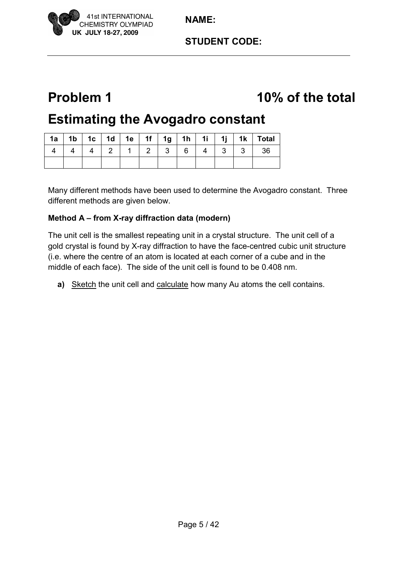# **Problem 1** 10% of the total

# **Estimating the Avogadro constant**

|  |  |  |               |            |                   |                         |              | 1a   1b   1c   1d   1e   1f   1g   1h   1i   1j   1k   Total |
|--|--|--|---------------|------------|-------------------|-------------------------|--------------|--------------------------------------------------------------|
|  |  |  | 2   1   2   3 | $6\degree$ | $\mathbf{\Delta}$ | $\overline{\mathbf{3}}$ | $\mathbf{3}$ | 36                                                           |
|  |  |  |               |            |                   |                         |              |                                                              |

Many different methods have been used to determine the Avogadro constant. Three different methods are given below.

### **Method A – from X-ray diffraction data (modern)**

The unit cell is the smallest repeating unit in a crystal structure. The unit cell of a gold crystal is found by X-ray diffraction to have the face-centred cubic unit structure (i.e. where the centre of an atom is located at each corner of a cube and in the middle of each face). The side of the unit cell is found to be 0.408 nm.

**a)** Sketch the unit cell and calculate how many Au atoms the cell contains.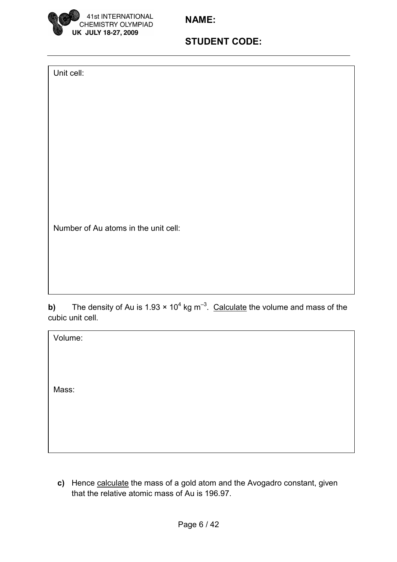

41st INTERNATIONAL<br>CHEMISTRY OLYMPIAD

**UK JULY 18-27, 2009** 

## **STUDENT CODE:**

| Unit cell:                                                                                                                  |
|-----------------------------------------------------------------------------------------------------------------------------|
|                                                                                                                             |
|                                                                                                                             |
|                                                                                                                             |
|                                                                                                                             |
|                                                                                                                             |
| Number of Au atoms in the unit cell:                                                                                        |
|                                                                                                                             |
|                                                                                                                             |
| The density of Au is $1.93 \times 10^4$ kg m <sup>-3</sup> . Calculate the volume and mass of the<br>b)<br>cubic unit cell. |
| Volume:                                                                                                                     |
|                                                                                                                             |

Mass:

**c)** Hence calculate the mass of a gold atom and the Avogadro constant, given that the relative atomic mass of Au is 196.97.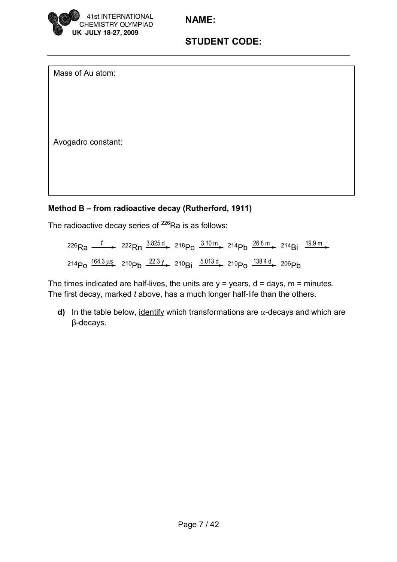Mass of Au atom:

Avogadro constant:

### **Method B – from radioactive decay (Rutherford, 1911)**

The radioactive decay series of  $226$ Ra is as follows:

 $226Ra$   $\rightarrow$   $222Rn$   $\frac{3.825d}{218p_0}$   $\frac{3.10m}{214p_0}$   $\frac{26.8m}{26.8m}$   $214Bi$   $\frac{19.9m}{26.8m}$  $214P_0$   $\frac{164.3 \text{ }\mu\text{s}}{210P_0}$   $\frac{22.3 \text{ }\gamma}{210P_0}$   $\frac{5.013 \text{ d}}{210P_0}$   $\frac{138.4 \text{ d}}{206P_0}$ 

The times indicated are half-lives, the units are  $y = y$ ears,  $d = days$ ,  $m = minutes$ . The first decay, marked *t* above, has a much longer half-life than the others.

**d)** In the table below, identify which transformations are  $\alpha$ -decays and which are β-decays.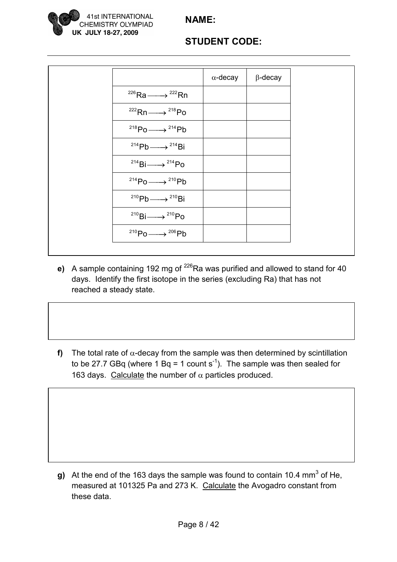

### **STUDENT CODE:**

|                                     | $\alpha$ -decay | $\beta$ -decay |  |
|-------------------------------------|-----------------|----------------|--|
| $226$ Ra $\longrightarrow$ $222$ Rn |                 |                |  |
| $222$ Rn $\longrightarrow$ $218$ Po |                 |                |  |
| $^{218}Po \longrightarrow ^{214}Pb$ |                 |                |  |
| $^{214}Pb \longrightarrow ^{214}Bi$ |                 |                |  |
| $^{214}Bi \longrightarrow ^{214}Po$ |                 |                |  |
| $^{214}Po \longrightarrow ^{210}Pb$ |                 |                |  |
| $^{210}Pb \longrightarrow ^{210}Bi$ |                 |                |  |
| $^{210}Bi \longrightarrow ^{210}Po$ |                 |                |  |
| $^{210}Po \longrightarrow ^{206}Pb$ |                 |                |  |
|                                     |                 |                |  |

- **e)** A sample containing 192 mg of <sup>226</sup>Ra was purified and allowed to stand for 40 days. Identify the first isotope in the series (excluding Ra) that has not reached a steady state.
- **f)** The total rate of  $\alpha$ -decay from the sample was then determined by scintillation to be 27.7 GBq (where 1 Bq = 1 count s<sup>-1</sup>). The sample was then sealed for 163 days. Calculate the number of  $\alpha$  particles produced.

**g)** At the end of the 163 days the sample was found to contain 10.4 mm<sup>3</sup> of He, measured at 101325 Pa and 273 K. Calculate the Avogadro constant from these data.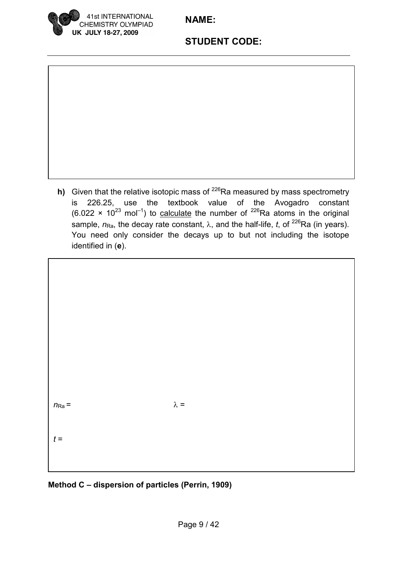41st INTERNATIONAL CHEMISTRY OLYMPIAD

UK JULY 18-27, 2009

## **STUDENT CODE:**

**h)** Given that the relative isotopic mass of <sup>226</sup>Ra measured by mass spectrometry is 226.25, use the textbook value of the Avogadro constant  $(6.022 \times 10^{23} \text{ mol}^{-1})$  to calculate the number of <sup>226</sup>Ra atoms in the original sample,  $n_{\text{Ra}}$ , the decay rate constant,  $\lambda$ , and the half-life, *t*, of <sup>226</sup>Ra (in years). You need only consider the decays up to but not including the isotope identified in (**e**).

```
n_{\text{Ra}} = \lambda =t =
```
**Method C – dispersion of particles (Perrin, 1909)**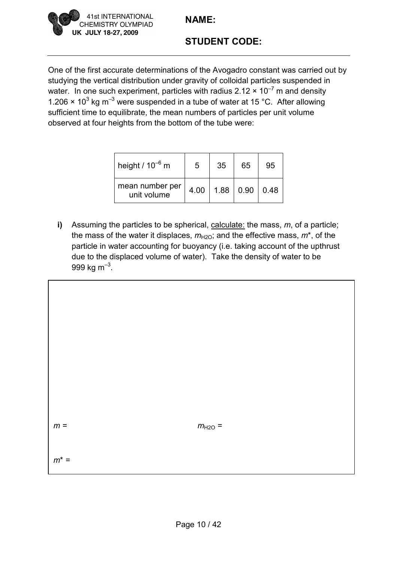41st INTERNATIONAL CHEMISTRY OLYMPIAD UK JULY 18-27, 2009

**STUDENT CODE:** 

One of the first accurate determinations of the Avogadro constant was carried out by studying the vertical distribution under gravity of colloidal particles suspended in water. In one such experiment, particles with radius 2.12  $\times$  10<sup>-7</sup> m and density 1.206  $\times$  10<sup>3</sup> kg m<sup>-3</sup> were suspended in a tube of water at 15 °C. After allowing sufficient time to equilibrate, the mean numbers of particles per unit volume observed at four heights from the bottom of the tube were:

| height / $10^{-6}$ m           | 5    | 35 | 65          | 95   |
|--------------------------------|------|----|-------------|------|
| mean number per<br>unit volume | 4.00 |    | $1.88$ 0.90 | 0.48 |

**i)** Assuming the particles to be spherical, calculate: the mass, *m*, of a particle; the mass of the water it displaces,  $m<sub>H2O</sub>$ ; and the effective mass,  $m<sup>*</sup>$ , of the particle in water accounting for buoyancy (i.e. taking account of the upthrust due to the displaced volume of water). Take the density of water to be 999 kg m $^{-3}$ .

 $m =$   $m_{H2O} =$ *m*\* *=*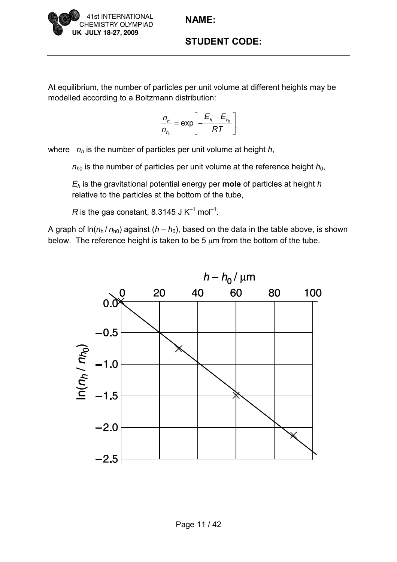**STUDENT CODE:** 

At equilibrium, the number of particles per unit volume at different heights may be modelled according to a Boltzmann distribution:

$$
\frac{n_h}{n_{h_0}} = \exp\left[-\frac{E_h - E_{h_0}}{RT}\right]
$$

where *nh* is the number of particles per unit volume at height *h*,

 $n_{h0}$  is the number of particles per unit volume at the reference height  $h_0$ ,

 *Eh* is the gravitational potential energy per **mole** of particles at height *h* relative to the particles at the bottom of the tube,

*R* is the gas constant, 8.3145 J K<sup>-1</sup> mol<sup>-1</sup>.

A graph of  $\ln(n_h/n_{h0})$  against  $(h - h_0)$ , based on the data in the table above, is shown below. The reference height is taken to be 5  $\mu$ m from the bottom of the tube.

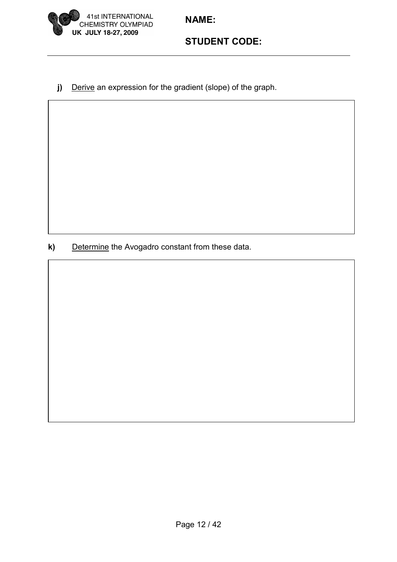



**j)** Derive an expression for the gradient (slope) of the graph.

**k)** Determine the Avogadro constant from these data.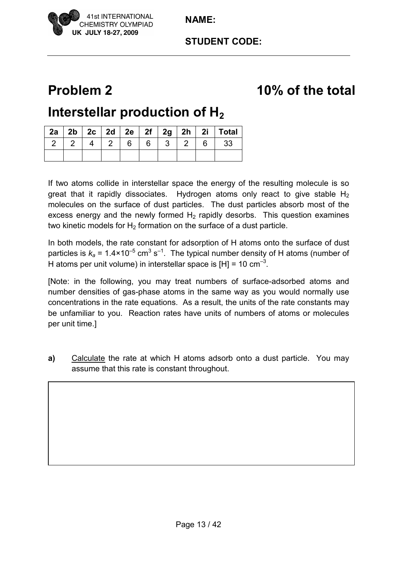

# **Problem 2** 10% of the total

# Interstellar production of H<sub>2</sub>

|  |  |                 |  |   | $2a   2b   2c   2d   2e   2f   2g   2h   2i   Total$ |
|--|--|-----------------|--|---|------------------------------------------------------|
|  |  | 2 2 4 2 6 6 3 2 |  | 6 | 33                                                   |
|  |  |                 |  |   |                                                      |

If two atoms collide in interstellar space the energy of the resulting molecule is so great that it rapidly dissociates. Hydrogen atoms only react to give stable  $H_2$ molecules on the surface of dust particles. The dust particles absorb most of the excess energy and the newly formed  $H_2$  rapidly desorbs. This question examines two kinetic models for  $H_2$  formation on the surface of a dust particle.

In both models, the rate constant for adsorption of H atoms onto the surface of dust particles is  $k_{\mathsf{a}}$  = 1.4×10<sup>-5</sup> cm $^3$  s<sup>-1</sup>. The typical number density of H atoms (number of H atoms per unit volume) in interstellar space is [H] = 10 cm<sup>-3</sup>.

[Note: in the following, you may treat numbers of surface-adsorbed atoms and number densities of gas-phase atoms in the same way as you would normally use concentrations in the rate equations. As a result, the units of the rate constants may be unfamiliar to you. Reaction rates have units of numbers of atoms or molecules per unit time.]

**a)** Calculate the rate at which H atoms adsorb onto a dust particle. You may assume that this rate is constant throughout.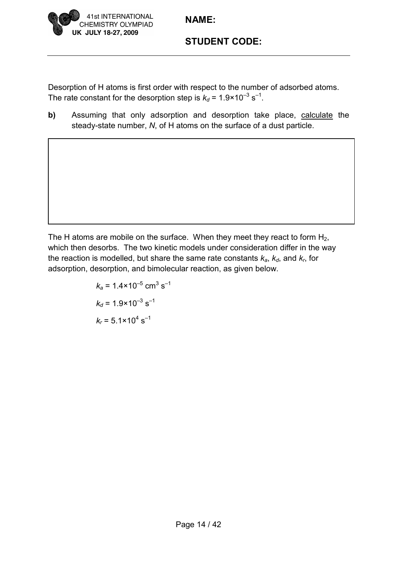Desorption of H atoms is first order with respect to the number of adsorbed atoms. The rate constant for the desorption step is  $k_d$  = 1.9×10<sup>-3</sup> s<sup>-1</sup>.

**b)** Assuming that only adsorption and desorption take place, calculate the steady-state number, *N*, of H atoms on the surface of a dust particle.

The H atoms are mobile on the surface. When they meet they react to form  $H_2$ , which then desorbs. The two kinetic models under consideration differ in the way the reaction is modelled, but share the same rate constants  $k_a$ ,  $k_d$ , and  $k_f$ , for adsorption, desorption, and bimolecular reaction, as given below.

> $k_a$  = 1.4×10<sup>-5</sup> cm<sup>3</sup> s<sup>-1</sup>  $k_d$  = 1.9×10<sup>-3</sup> s<sup>-1</sup>  $k_r$  = 5.1×10<sup>4</sup> s<sup>-1</sup>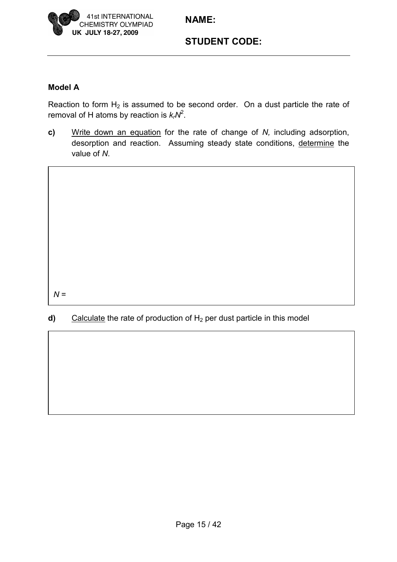

### **Model A**

Reaction to form  $H_2$  is assumed to be second order. On a dust particle the rate of removal of H atoms by reaction is *krN* 2 .

**c)** Write down an equation for the rate of change of *N,* including adsorption, desorption and reaction. Assuming steady state conditions, determine the value of *N*.

*N* =

**d)** Calculate the rate of production of  $H_2$  per dust particle in this model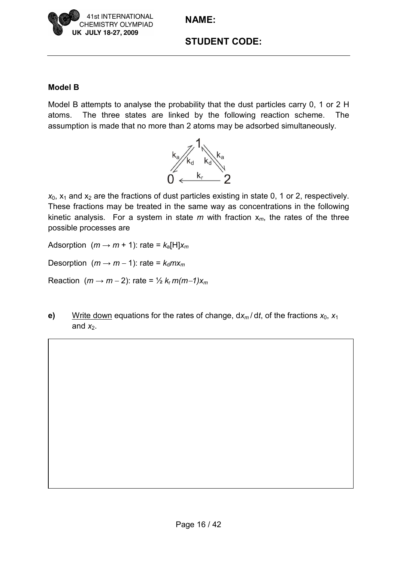

### **Model B**

Model B attempts to analyse the probability that the dust particles carry 0, 1 or 2 H atoms. The three states are linked by the following reaction scheme. The assumption is made that no more than 2 atoms may be adsorbed simultaneously.



 $x_0$ ,  $x_1$  and  $x_2$  are the fractions of dust particles existing in state 0, 1 or 2, respectively. These fractions may be treated in the same way as concentrations in the following kinetic analysis. For a system in state  $m$  with fraction  $x_m$ , the rates of the three possible processes are

Adsorption ( $m \rightarrow m + 1$ ): rate =  $k_a$ [H] $x_m$ 

Desorption ( $m \rightarrow m - 1$ ): rate =  $k_dmx_m$ 

Reaction ( $m \rightarrow m - 2$ ): rate = 1/2  $k<sub>r</sub> m(m-1)x<sub>m</sub>$ 

**e)** Write down equations for the rates of change,  $dx_m/dt$ , of the fractions  $x_0$ ,  $x_1$ and  $x_2$ .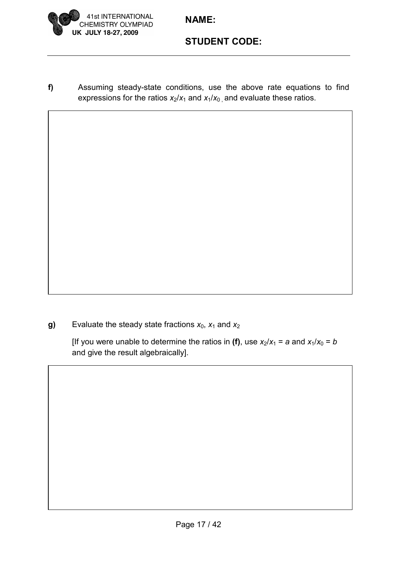

**f)** Assuming steady-state conditions, use the above rate equations to find expressions for the ratios  $x_2/x_1$  and  $x_1/x_0$  and evaluate these ratios.

**g)** Evaluate the steady state fractions  $x_0$ ,  $x_1$  and  $x_2$ 

[If you were unable to determine the ratios in (f), use  $x_2/x_1 = a$  and  $x_1/x_0 = b$ and give the result algebraically].

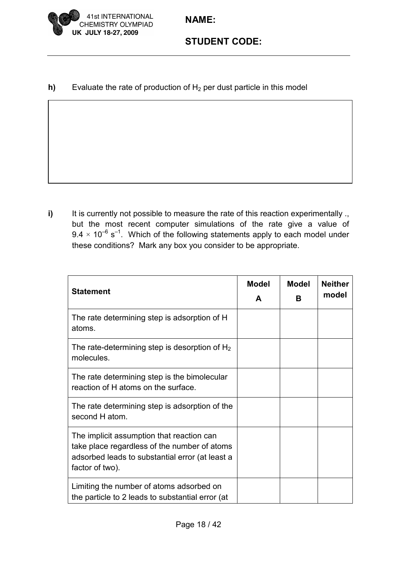### **h)** Evaluate the rate of production of  $H_2$  per dust particle in this model

**i)** It is currently not possible to measure the rate of this reaction experimentally ., but the most recent computer simulations of the rate give a value of  $9.4 \times 10^{-6}$  s<sup>-1</sup>. Which of the following statements apply to each model under these conditions? Mark any box you consider to be appropriate.

| <b>Statement</b>                                                                                                                                                | <b>Model</b><br>A | <b>Model</b><br>в | <b>Neither</b><br>model |
|-----------------------------------------------------------------------------------------------------------------------------------------------------------------|-------------------|-------------------|-------------------------|
| The rate determining step is adsorption of H<br>atoms.                                                                                                          |                   |                   |                         |
| The rate-determining step is desorption of $H_2$<br>molecules.                                                                                                  |                   |                   |                         |
| The rate determining step is the bimolecular<br>reaction of H atoms on the surface.                                                                             |                   |                   |                         |
| The rate determining step is adsorption of the<br>second H atom.                                                                                                |                   |                   |                         |
| The implicit assumption that reaction can<br>take place regardless of the number of atoms<br>adsorbed leads to substantial error (at least a<br>factor of two). |                   |                   |                         |
| Limiting the number of atoms adsorbed on<br>the particle to 2 leads to substantial error (at                                                                    |                   |                   |                         |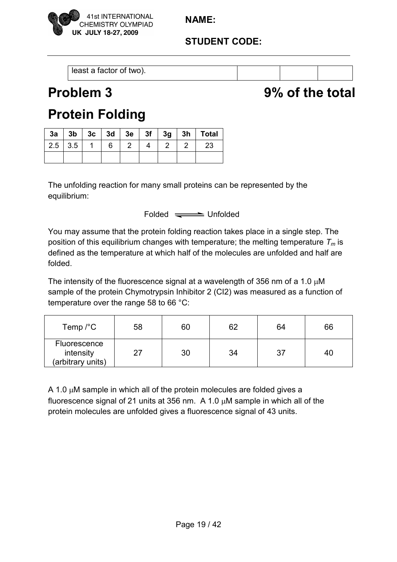**41st INTERNATIONAL** CHEMISTRY OLYMPIAD UK JULY 18-27, 2009

**STUDENT CODE:** 

least a factor of two).

**Problem 3 9% of the total** 

# **Protein Folding**

| 3a               | 3 <sub>b</sub> | $3c$ 3d |   | 3e | 3f | 3g | 3 <sub>h</sub> | <b>Total</b> |
|------------------|----------------|---------|---|----|----|----|----------------|--------------|
| 2.5 <sub>1</sub> | 3.5            |         | 6 |    |    |    |                | 23           |
|                  |                |         |   |    |    |    |                |              |

The unfolding reaction for many small proteins can be represented by the equilibrium:

 $F$ olded  $\longrightarrow$  Unfolded

You may assume that the protein folding reaction takes place in a single step. The position of this equilibrium changes with temperature; the melting temperature *Tm* is defined as the temperature at which half of the molecules are unfolded and half are folded.

The intensity of the fluorescence signal at a wavelength of 356 nm of a 1.0  $\mu$ M sample of the protein Chymotrypsin Inhibitor 2 (CI2) was measured as a function of temperature over the range 58 to 66 °C:

| Temp $/^{\circ}$ C                             | 58 | 60 | 62 | 64 | 66 |
|------------------------------------------------|----|----|----|----|----|
| Fluorescence<br>intensity<br>(arbitrary units) | 27 | 30 | 34 | 37 | 40 |

A 1.0  $\mu$ M sample in which all of the protein molecules are folded gives a fluorescence signal of 21 units at 356 nm. A 1.0  $\mu$ M sample in which all of the protein molecules are unfolded gives a fluorescence signal of 43 units.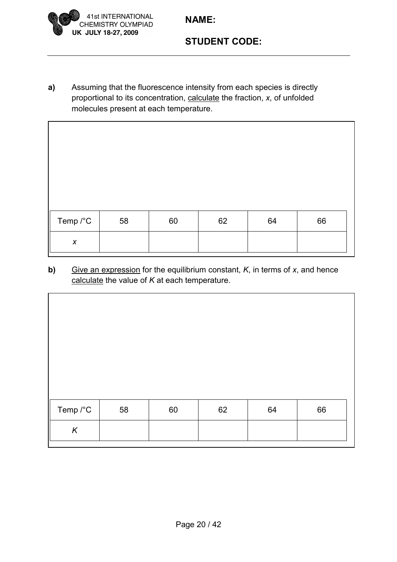

**STUDENT CODE:** 

**a)** Assuming that the fluorescence intensity from each species is directly proportional to its concentration, calculate the fraction, *x*, of unfolded molecules present at each temperature.

| Temp /°C<br>Π | 58 | 60 | 62 | 64 | 66 |
|---------------|----|----|----|----|----|
| $\pmb{\chi}$  |    |    |    |    |    |

**b)** Give an expression for the equilibrium constant, *K*, in terms of *x*, and hence calculate the value of *K* at each temperature.

| Temp /°C           | 58 | 60 | 62 | 64 | 66 |
|--------------------|----|----|----|----|----|
| $\pmb{\mathsf{K}}$ |    |    |    |    |    |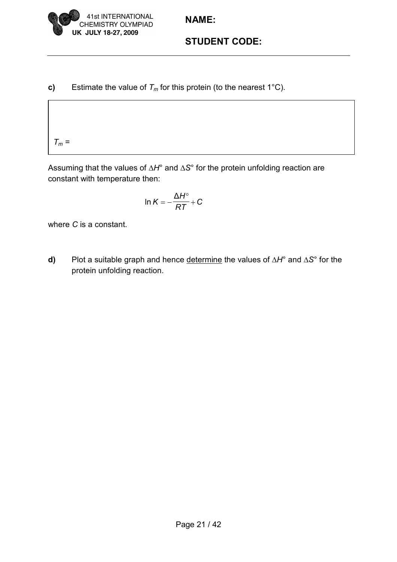

**STUDENT CODE:** 

**c)** Estimate the value of  $T_m$  for this protein (to the nearest 1°C).

*Tm =*

Assuming that the values of ∆*H*° and ∆*S*° for the protein unfolding reaction are constant with temperature then:

$$
\ln K = -\frac{\Delta H^{\circ}}{RT} + C
$$

where *C* is a constant.

**d)** Plot a suitable graph and hence determine the values of ∆*H*° and ∆*S*° for the protein unfolding reaction.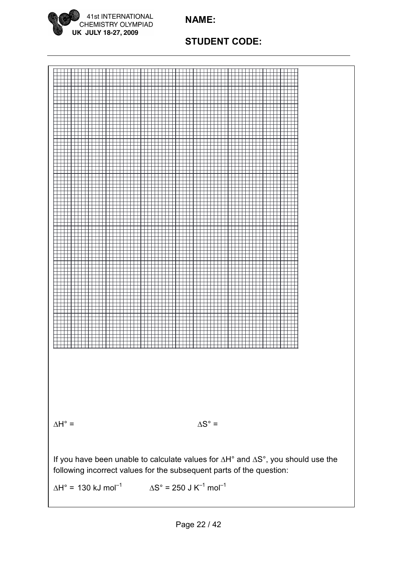

**STUDENT CODE:** 

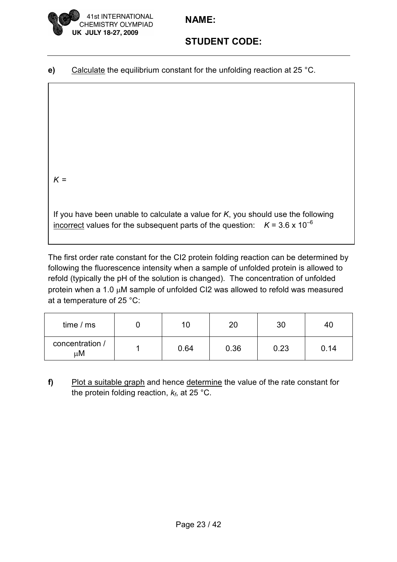

**e)** Calculate the equilibrium constant for the unfolding reaction at 25 °C.

41st INTERNATIONAL CHEMISTRY OLYMPIAD

UK JULY 18-27, 2009

 $K =$ 

If you have been unable to calculate a value for *K*, you should use the following incorrect values for the subsequent parts of the question:  $K = 3.6 \times 10^{-6}$ 

The first order rate constant for the CI2 protein folding reaction can be determined by following the fluorescence intensity when a sample of unfolded protein is allowed to refold (typically the pH of the solution is changed). The concentration of unfolded protein when a 1.0  $\mu$ M sample of unfolded CI2 was allowed to refold was measured at a temperature of 25 °C:

| time / ms             | 10   | 20   | 30   | 40   |
|-----------------------|------|------|------|------|
| concentration /<br>uМ | 0.64 | 0.36 | 0.23 | 0.14 |

**f)** Plot a suitable graph and hence determine the value of the rate constant for the protein folding reaction,  $k_f$ , at 25 °C.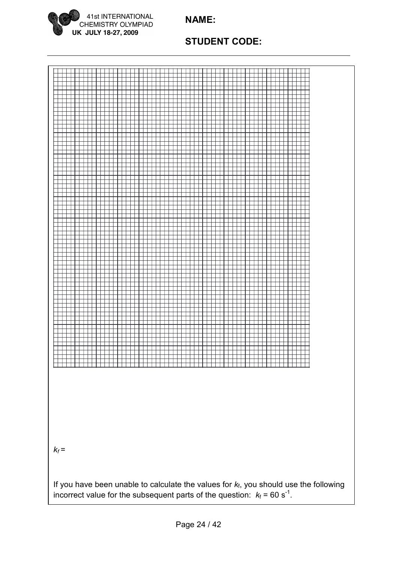

**STUDENT CODE:** 

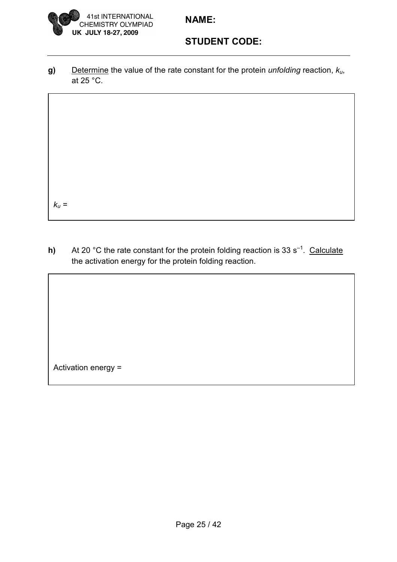

**g)** Determine the value of the rate constant for the protein *unfolding* reaction, *ku*, at 25 °C.

 $k_u =$ 

**h)** At 20 °C the rate constant for the protein folding reaction is 33 s<sup>-1</sup>. Calculate the activation energy for the protein folding reaction.

Activation energy =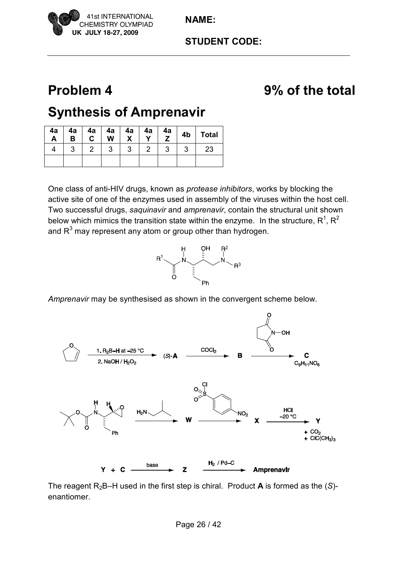

**STUDENT CODE:** 

# **Problem 4** 9% of the total

# **Synthesis of Amprenavir**

| 4a<br>A | 4a<br>в | 4a<br>С | 4a<br>W | 4a     | 4a | 4a     | 4b | <b>Total</b> |
|---------|---------|---------|---------|--------|----|--------|----|--------------|
|         | າ<br>ບ  |         | າ<br>J  | ີ<br>J |    | າ<br>J | 2  | 23           |
|         |         |         |         |        |    |        |    |              |

One class of anti-HIV drugs, known as *protease inhibitors*, works by blocking the active site of one of the enzymes used in assembly of the viruses within the host cell. Two successful drugs, *saquinavir* and *amprenavir*, contain the structural unit shown below which mimics the transition state within the enzyme. In the structure,  $\mathsf{R}^1\!,\mathsf{R}^2$ and  $\mathsf{R}^3$  may represent any atom or group other than hydrogen.



*Amprenavir* may be synthesised as shown in the convergent scheme below.



The reagent R2B–H used in the first step is chiral. Product **A** is formed as the (*S*) enantiomer.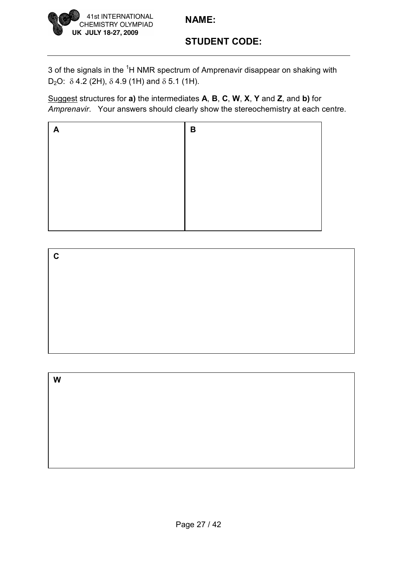



3 of the signals in the <sup>1</sup>H NMR spectrum of Amprenavir disappear on shaking with D<sub>2</sub>O:  $\delta$  4.2 (2H),  $\delta$  4.9 (1H) and  $\delta$  5.1 (1H).

Suggest structures for **a)** the intermediates **A**, **B**, **C**, **W**, **X**, **Y** and **Z**, and **b)** for *Amprenavir*. Your answers should clearly show the stereochemistry at each centre.

| A | B |
|---|---|
|   |   |
|   |   |
|   |   |
|   |   |
|   |   |
|   |   |

**C** 

**W**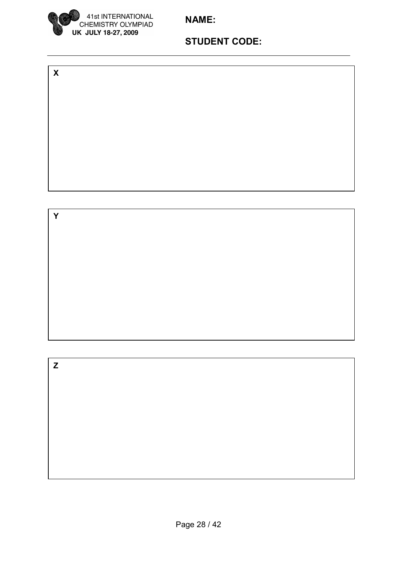

# **STUDENT CODE:**

**X** 

**Y** 

**Z**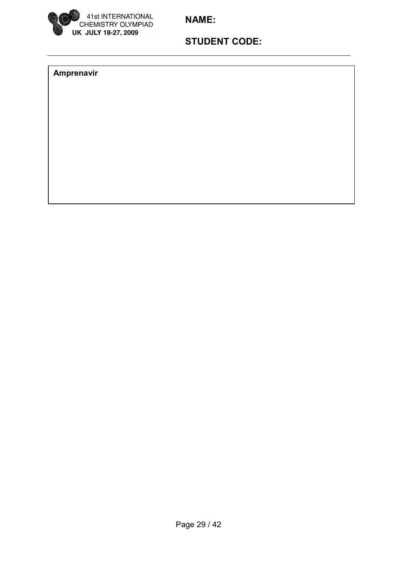



**Amprenavir**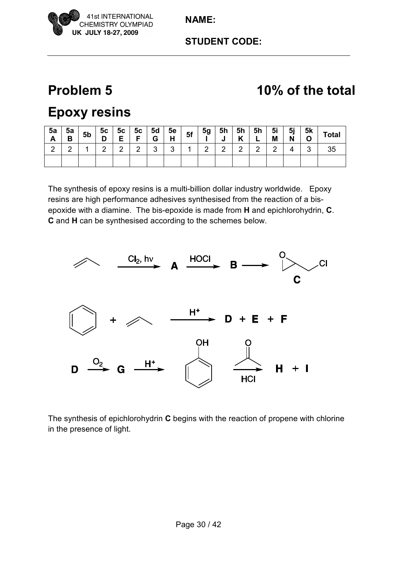

**STUDENT CODE:** 

# **Problem 5** 10% of the total

# **Epoxy resins**

| 5a<br>A | 5a<br>В         | 5 <sub>b</sub> | 5c<br>D | 5 <sub>c</sub><br>E | 5c | 5d<br>G | 5e<br>ш<br>п | 5f | 5g              | 5h<br>ν            | 5h<br>ı<br>r    | 5h<br>-     | 5i<br>M | 5j<br>N | 5k<br>О | <b>Total</b> |
|---------|-----------------|----------------|---------|---------------------|----|---------|--------------|----|-----------------|--------------------|-----------------|-------------|---------|---------|---------|--------------|
| ∼       | $\sqrt{2}$<br>- |                | ົ       | $\sim$<br>-         | ⌒  | ົ<br>ັ  | ◠<br>ັ       | А  | $\sqrt{2}$<br>- | $\sim$<br><u>.</u> | $\sqrt{2}$<br>- | $\sim$<br>- | ⌒       |         | ົ<br>ັ  | 35           |
|         |                 |                |         |                     |    |         |              |    |                 |                    |                 |             |         |         |         |              |

The synthesis of epoxy resins is a multi-billion dollar industry worldwide. Epoxy resins are high performance adhesives synthesised from the reaction of a bisepoxide with a diamine. The bis-epoxide is made from **H** and epichlorohydrin, **C**. **C** and **H** can be synthesised according to the schemes below.



The synthesis of epichlorohydrin **C** begins with the reaction of propene with chlorine in the presence of light.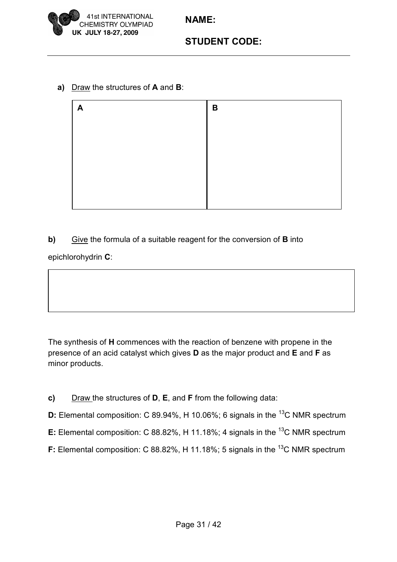

**a)** Draw the structures of **A** and **B**:

| A | B |
|---|---|
|   |   |
|   |   |
|   |   |
|   |   |
|   |   |
|   |   |

**b)** Give the formula of a suitable reagent for the conversion of **B** into epichlorohydrin **C**:

The synthesis of **H** commences with the reaction of benzene with propene in the presence of an acid catalyst which gives **D** as the major product and **E** and **F** as minor products.

- **c)** Draw the structures of **D**, **E**, and **F** from the following data:
- **D:** Elemental composition: C 89.94%, H 10.06%; 6 signals in the <sup>13</sup>C NMR spectrum
- **E:** Elemental composition: C 88.82%, H 11.18%; 4 signals in the <sup>13</sup>C NMR spectrum
- **F:** Elemental composition: C 88.82%, H 11.18%; 5 signals in the <sup>13</sup>C NMR spectrum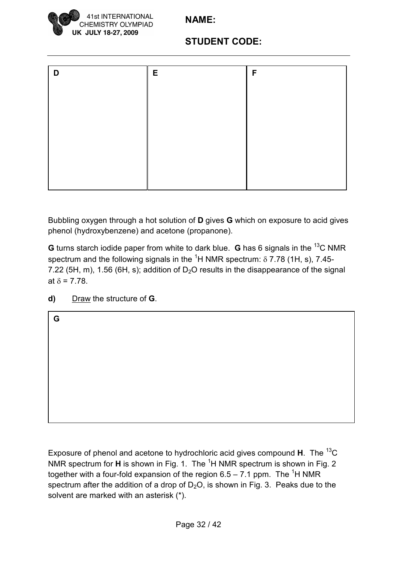**41st INTERNATIONAL** CHEMISTRY OLYMPIAD

# **STUDENT CODE:**

| D | E | F |
|---|---|---|
|   |   |   |
|   |   |   |
|   |   |   |
|   |   |   |
|   |   |   |
|   |   |   |
|   |   |   |

Bubbling oxygen through a hot solution of **D** gives **G** which on exposure to acid gives phenol (hydroxybenzene) and acetone (propanone).

**G** turns starch iodide paper from white to dark blue. **G** has 6 signals in the <sup>13</sup>C NMR spectrum and the following signals in the <sup>1</sup>H NMR spectrum:  $\delta$  7.78 (1H, s), 7.45-7.22 (5H, m), 1.56 (6H, s); addition of  $D_2O$  results in the disappearance of the signal at  $δ = 7.78$ .

**d)** Draw the structure of **G**.

UK JULY 18-27, 2009

**G** 

Exposure of phenol and acetone to hydrochloric acid gives compound **H**. The <sup>13</sup>C NMR spectrum for **H** is shown in Fig. 1. The <sup>1</sup>H NMR spectrum is shown in Fig. 2 together with a four-fold expansion of the region  $6.5 - 7.1$  ppm. The <sup>1</sup>H NMR spectrum after the addition of a drop of  $D_2O$ , is shown in Fig. 3. Peaks due to the solvent are marked with an asterisk (\*).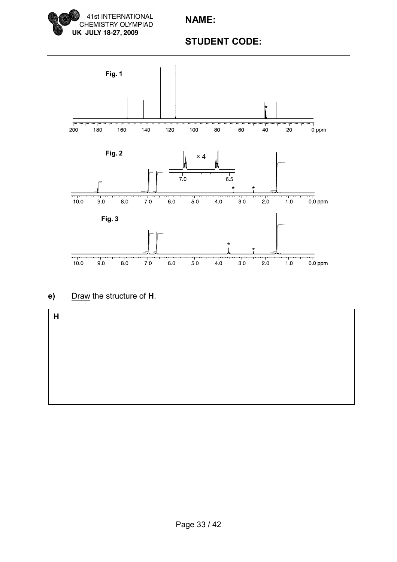41st INTERNATIONAL CHEMISTRY OLYMPIAD **UK JULY 18-27, 2009** 

**STUDENT CODE:** 



**e)** Draw the structure of **H**.

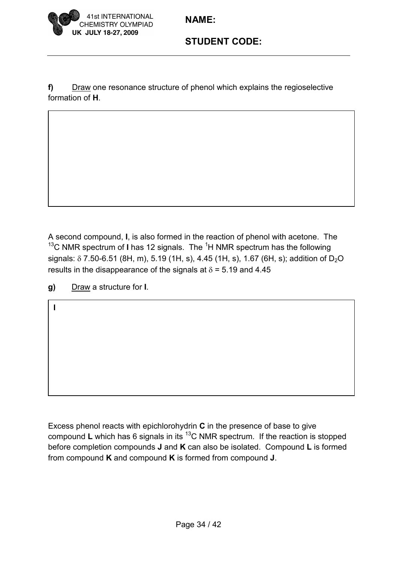**f)** Draw one resonance structure of phenol which explains the regioselective formation of **H**.

A second compound, **I**, is also formed in the reaction of phenol with acetone. The <sup>13</sup>C NMR spectrum of I has 12 signals. The <sup>1</sup>H NMR spectrum has the following signals: δ 7.50-6.51 (8H, m), 5.19 (1H, s), 4.45 (1H, s), 1.67 (6H, s); addition of D<sub>2</sub>O results in the disappearance of the signals at  $\delta$  = 5.19 and 4.45

**g)** Draw a structure for **I**.

**I** 

Excess phenol reacts with epichlorohydrin **C** in the presence of base to give compound **L** which has 6 signals in its <sup>13</sup>C NMR spectrum. If the reaction is stopped before completion compounds **J** and **K** can also be isolated. Compound **L** is formed from compound **K** and compound **K** is formed from compound **J**.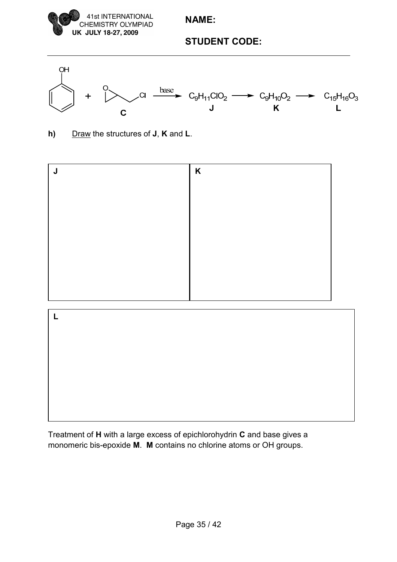

# **STUDENT CODE:**



**h)** Draw the structures of **J**, **K** and **L**.

| J | K |  |
|---|---|--|
|   |   |  |
|   |   |  |
|   |   |  |
|   |   |  |
|   |   |  |
|   |   |  |
|   |   |  |

Treatment of **H** with a large excess of epichlorohydrin **C** and base gives a monomeric bis-epoxide **M**. **M** contains no chlorine atoms or OH groups.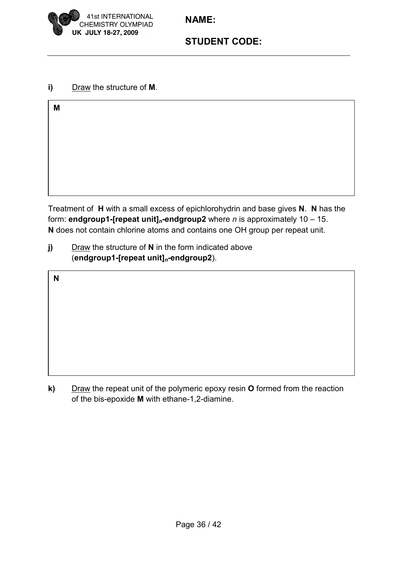

### **STUDENT CODE:**

**i)** Draw the structure of **M**.

**M** 

Treatment of **H** with a small excess of epichlorohydrin and base gives **N**. **N** has the form: **endgroup1-[repeat unit]***n***-endgroup2** where *n* is approximately 10 – 15. **N** does not contain chlorine atoms and contains one OH group per repeat unit.

**j)** Draw the structure of **N** in the form indicated above (**endgroup1-[repeat unit]***n***-endgroup2**).

**k)** Draw the repeat unit of the polymeric epoxy resin **O** formed from the reaction of the bis-epoxide **M** with ethane-1,2-diamine.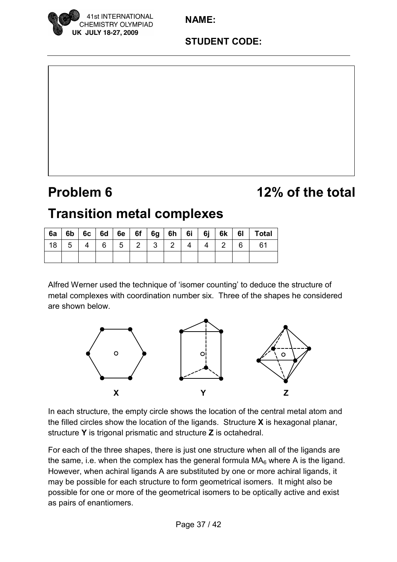

**STUDENT CODE:** 

# **Problem 6 12% of the total**

# **Transition metal complexes**

| 6а | 6b | $6c$ | 6d   6e |   |   | 6f   6g   6h | 6i l | 6i | 6k | 61 | <b>Total</b> |
|----|----|------|---------|---|---|--------------|------|----|----|----|--------------|
| 18 | 5  |      | 5       | റ | ς |              |      |    |    |    |              |
|    |    |      |         |   |   |              |      |    |    |    |              |

Alfred Werner used the technique of 'isomer counting' to deduce the structure of metal complexes with coordination number six. Three of the shapes he considered are shown below.



In each structure, the empty circle shows the location of the central metal atom and the filled circles show the location of the ligands. Structure **X** is hexagonal planar, structure **Y** is trigonal prismatic and structure **Z** is octahedral.

For each of the three shapes, there is just one structure when all of the ligands are the same, i.e. when the complex has the general formula  $MA<sub>6</sub>$  where A is the ligand. However, when achiral ligands A are substituted by one or more achiral ligands, it may be possible for each structure to form geometrical isomers. It might also be possible for one or more of the geometrical isomers to be optically active and exist as pairs of enantiomers.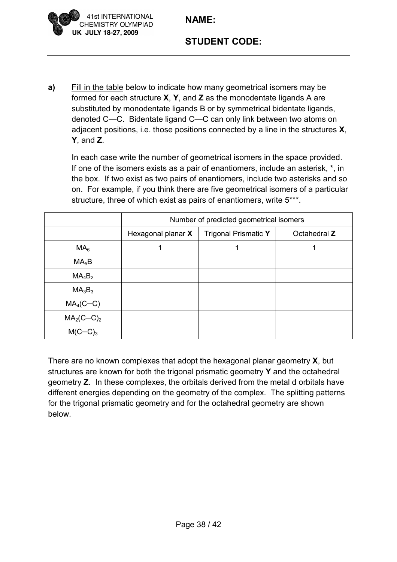**a)** Fill in the table below to indicate how many geometrical isomers may be formed for each structure **X**, **Y**, and **Z** as the monodentate ligands A are substituted by monodentate ligands B or by symmetrical bidentate ligands, denoted C—C. Bidentate ligand C—C can only link between two atoms on adjacent positions, i.e. those positions connected by a line in the structures **X**, **Y**, and **Z**.

 In each case write the number of geometrical isomers in the space provided. If one of the isomers exists as a pair of enantiomers, include an asterisk, \*, in the box. If two exist as two pairs of enantiomers, include two asterisks and so on. For example, if you think there are five geometrical isomers of a particular structure, three of which exist as pairs of enantiomers, write 5\*\*\*.

|                                | Number of predicted geometrical isomers |                             |              |  |
|--------------------------------|-----------------------------------------|-----------------------------|--------------|--|
|                                | Hexagonal planar X                      | <b>Trigonal Prismatic Y</b> | Octahedral Z |  |
| MA <sub>6</sub>                |                                         | 1                           |              |  |
| MA <sub>5</sub> B              |                                         |                             |              |  |
| $MA_4B_2$                      |                                         |                             |              |  |
| MA <sub>3</sub> B <sub>3</sub> |                                         |                             |              |  |
| $MA4(C-C)$                     |                                         |                             |              |  |
| $MA2(C-C)2$                    |                                         |                             |              |  |
| $M(C-C)3$                      |                                         |                             |              |  |

There are no known complexes that adopt the hexagonal planar geometry **X**, but structures are known for both the trigonal prismatic geometry **Y** and the octahedral geometry **Z**. In these complexes, the orbitals derived from the metal d orbitals have different energies depending on the geometry of the complex. The splitting patterns for the trigonal prismatic geometry and for the octahedral geometry are shown below.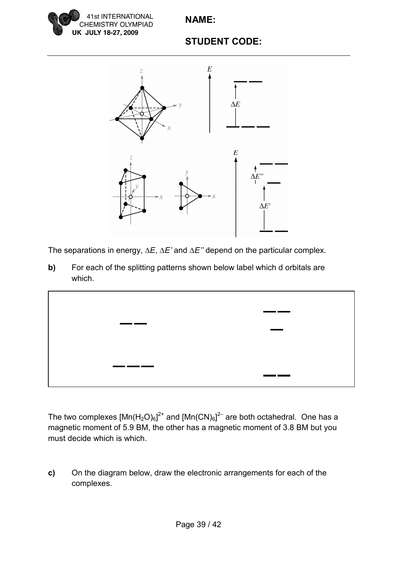

# **STUDENT CODE:**



The separations in energy, ∆*E*, ∆*E'* and ∆*E''* depend on the particular complex.

**b)** For each of the splitting patterns shown below label which d orbitals are which.



The two complexes [Mn(H<sub>2</sub>O)<sub>6</sub>]<sup>2+</sup> and [Mn(CN)<sub>6</sub>]<sup>2–</sup> are both octahedral. One has a magnetic moment of 5.9 BM, the other has a magnetic moment of 3.8 BM but you must decide which is which.

**c)** On the diagram below, draw the electronic arrangements for each of the complexes.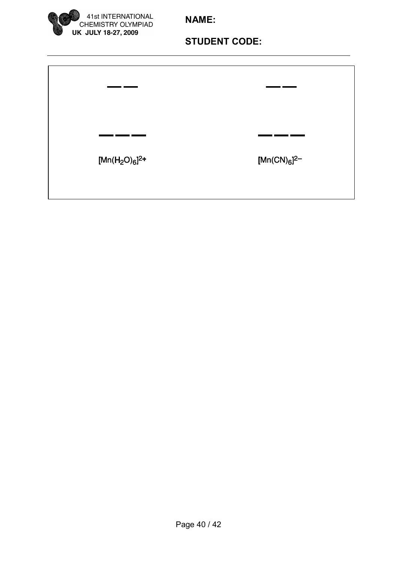

# **STUDENT CODE:**

 $[Mn(H<sub>2</sub>O)<sub>6</sub>]<sup>2+</sup>$ 

. .

۰.

 $[Mn(CN)_{6}]^{2-}$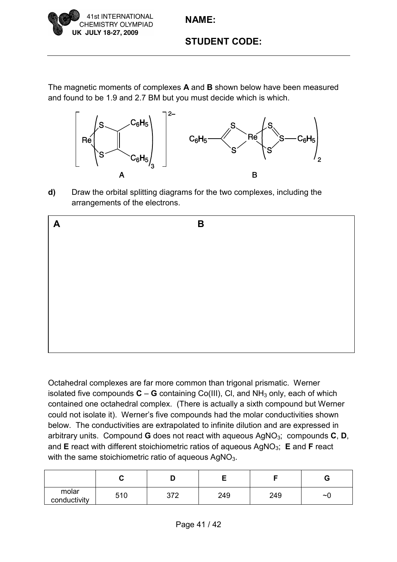The magnetic moments of complexes **A** and **B** shown below have been measured and found to be 1.9 and 2.7 BM but you must decide which is which.



**d)** Draw the orbital splitting diagrams for the two complexes, including the arrangements of the electrons.



Octahedral complexes are far more common than trigonal prismatic. Werner isolated five compounds  $C - G$  containing  $Co(III)$ , CI, and  $NH<sub>3</sub>$  only, each of which contained one octahedral complex. (There is actually a sixth compound but Werner could not isolate it). Werner's five compounds had the molar conductivities shown below. The conductivities are extrapolated to infinite dilution and are expressed in arbitrary units. Compound **G** does not react with aqueous AgNO<sub>3</sub>; compounds **C**, **D**, and **E** react with different stoichiometric ratios of aqueous AgNO<sub>3</sub>; **E** and **F** react with the same stoichiometric ratio of aqueous  $AqNO<sub>3</sub>$ .

|                       | ◡   |              |     |     | u      |
|-----------------------|-----|--------------|-----|-----|--------|
| molar<br>conductivity | 510 | ר כי<br>01 L | 249 | 249 | $\sim$ |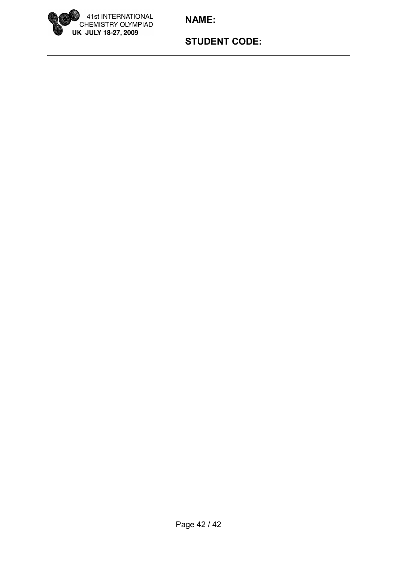

# **STUDENT CODE:**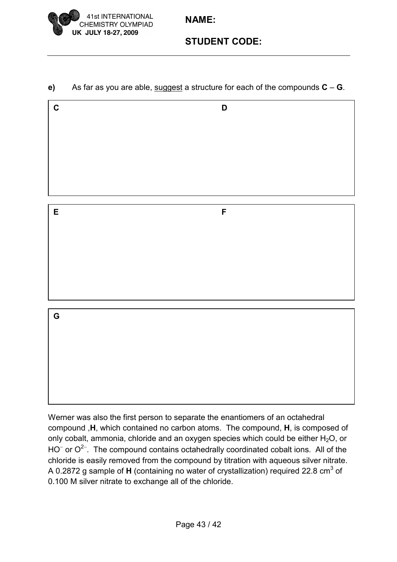

### **e)** As far as you are able, suggest a structure for each of the compounds **C** – **G**.



| E,        | F |  |
|-----------|---|--|
|           |   |  |
|           |   |  |
|           |   |  |
|           |   |  |
|           |   |  |
|           |   |  |
|           |   |  |
|           |   |  |
|           |   |  |
|           |   |  |
|           |   |  |
|           |   |  |
|           |   |  |
|           |   |  |
|           |   |  |
| ${\bf G}$ |   |  |
|           |   |  |
|           |   |  |
|           |   |  |
|           |   |  |
|           |   |  |
|           |   |  |
|           |   |  |
|           |   |  |
|           |   |  |
|           |   |  |
|           |   |  |

Werner was also the first person to separate the enantiomers of an octahedral compound ,**H**, which contained no carbon atoms. The compound, **H**, is composed of only cobalt, ammonia, chloride and an oxygen species which could be either  $H_2O$ , or HO<sup>−</sup> or O<sup>2–</sup>. The compound contains octahedrally coordinated cobalt ions. All of the chloride is easily removed from the compound by titration with aqueous silver nitrate. A 0.2872 g sample of **H** (containing no water of crystallization) required 22.8  $\text{cm}^3$  of 0.100 M silver nitrate to exchange all of the chloride.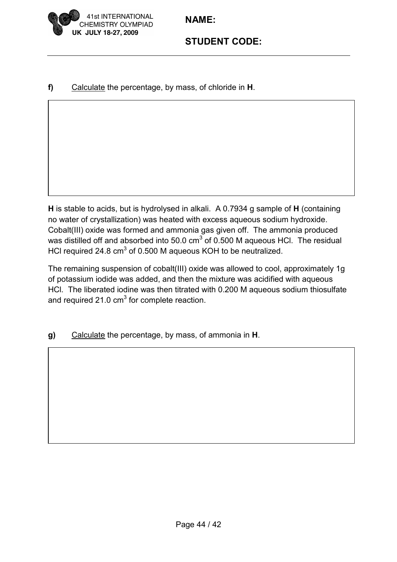## **STUDENT CODE:**

**f)** Calculate the percentage, by mass, of chloride in **H**.

**H** is stable to acids, but is hydrolysed in alkali. A 0.7934 g sample of **H** (containing no water of crystallization) was heated with excess aqueous sodium hydroxide. Cobalt(III) oxide was formed and ammonia gas given off. The ammonia produced was distilled off and absorbed into 50.0 cm<sup>3</sup> of 0.500 M aqueous HCl. The residual HCI required 24.8 cm<sup>3</sup> of 0.500 M aqueous KOH to be neutralized.

The remaining suspension of cobalt(III) oxide was allowed to cool, approximately 1g of potassium iodide was added, and then the mixture was acidified with aqueous HCl. The liberated iodine was then titrated with 0.200 M aqueous sodium thiosulfate and required 21.0  $\text{cm}^3$  for complete reaction.

**g)** Calculate the percentage, by mass, of ammonia in **H**.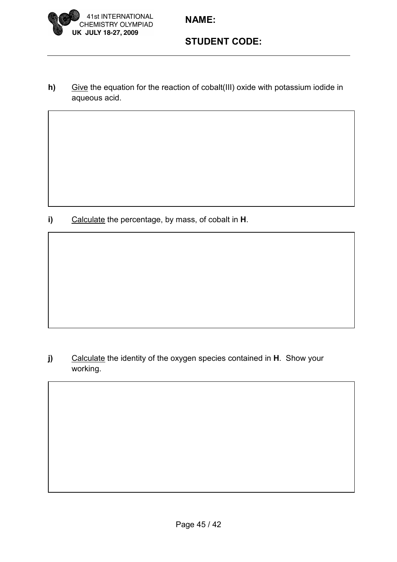

**h)** Give the equation for the reaction of cobalt(III) oxide with potassium iodide in aqueous acid.

**i)** Calculate the percentage, by mass, of cobalt in **H**.

**j)** Calculate the identity of the oxygen species contained in **H**. Show your working.